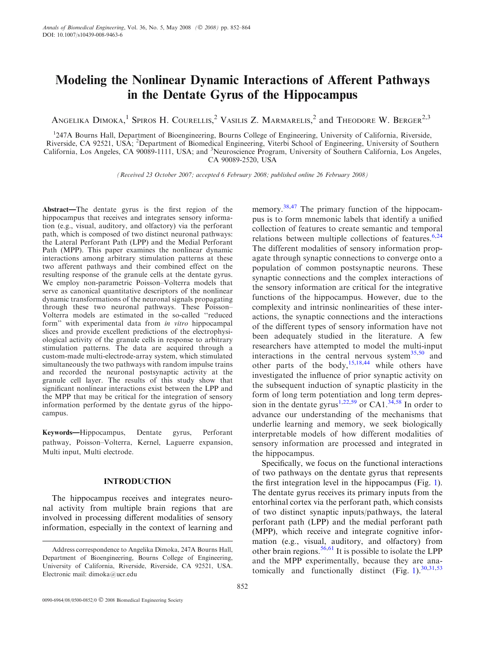# Modeling the Nonlinear Dynamic Interactions of Afferent Pathways in the Dentate Gyrus of the Hippocampus

Angelika Dimoka,<sup>1</sup> Spiros H. Courellis,<sup>2</sup> Vasilis Z. Marmarelis,<sup>2</sup> and Theodore W. Berger<sup>2,3</sup>

<sup>1</sup>247A Bourns Hall, Department of Bioengineering, Bourns College of Engineering, University of California, Riverside, Riverside, CA 92521, USA; <sup>2</sup>Department of Biomedical Engineering, Viterbi School of Engineering, University of Southern California, Los Angeles, CA 90089-1111, USA; and <sup>3</sup>Neuroscience Program, University of Southern California, Los Angeles, CA 90089-2520, USA

(Received 23 October 2007; accepted 6 February 2008; published online 26 February 2008)

Abstract—The dentate gyrus is the first region of the hippocampus that receives and integrates sensory information (e.g., visual, auditory, and olfactory) via the perforant path, which is composed of two distinct neuronal pathways: the Lateral Perforant Path (LPP) and the Medial Perforant Path (MPP). This paper examines the nonlinear dynamic interactions among arbitrary stimulation patterns at these two afferent pathways and their combined effect on the resulting response of the granule cells at the dentate gyrus. We employ non-parametric Poisson–Volterra models that serve as canonical quantitative descriptors of the nonlinear dynamic transformations of the neuronal signals propagating through these two neuronal pathways. These Poisson– Volterra models are estimated in the so-called ''reduced form'' with experimental data from in vitro hippocampal slices and provide excellent predictions of the electrophysiological activity of the granule cells in response to arbitrary stimulation patterns. The data are acquired through a custom-made multi-electrode-array system, which stimulated simultaneously the two pathways with random impulse trains and recorded the neuronal postsynaptic activity at the granule cell layer. The results of this study show that significant nonlinear interactions exist between the LPP and the MPP that may be critical for the integration of sensory information performed by the dentate gyrus of the hippocampus.

Keywords—Hippocampus, Dentate gyrus, Perforant pathway, Poisson–Volterra, Kernel, Laguerre expansion, Multi input, Multi electrode.

## INTRODUCTION

The hippocampus receives and integrates neuronal activity from multiple brain regions that are involved in processing different modalities of sensory information, especially in the context of learning and

memory.<sup>[38,47](#page-12-0)</sup> The primary function of the hippocampus is to form mnemonic labels that identify a unified collection of features to create semantic and temporal relations between multiple collections of features. $6,24$ The different modalities of sensory information propagate through synaptic connections to converge onto a population of common postsynaptic neurons. These synaptic connections and the complex interactions of the sensory information are critical for the integrative functions of the hippocampus. However, due to the complexity and intrinsic nonlinearities of these interactions, the synaptic connections and the interactions of the different types of sensory information have not been adequately studied in the literature. A few researchers have attempted to model the multi-input interactions in the central nervous system $35,50$  and other parts of the body,  $15,18,44$  $15,18,44$  while others have investigated the influence of prior synaptic activity on the subsequent induction of synaptic plasticity in the form of long term potentiation and long term depres-sion in the dentate gyrus<sup>[1,22,](#page-11-0)[59](#page-12-0)</sup> or CA1.<sup>[34,58](#page-12-0)</sup> In order to advance our understanding of the mechanisms that underlie learning and memory, we seek biologically interpretable models of how different modalities of sensory information are processed and integrated in the hippocampus.

Specifically, we focus on the functional interactions of two pathways on the dentate gyrus that represents the first integration level in the hippocampus (Fig. [1](#page-1-0)). The dentate gyrus receives its primary inputs from the entorhinal cortex via the perforant path, which consists of two distinct synaptic inputs/pathways, the lateral perforant path (LPP) and the medial perforant path (MPP), which receive and integrate cognitive information (e.g., visual, auditory, and olfactory) from other brain regions.  $56,61$  It is possible to isolate the LPP and the MPP experimentally, because they are anatomically and functionally distinct  $(Fig. 1)$  $(Fig. 1)$ .  $30,31,53$  $30,31,53$ 

Address correspondence to Angelika Dimoka, 247A Bourns Hall, Department of Bioengineering, Bourns College of Engineering, University of California, Riverside, Riverside, CA 92521, USA. Electronic mail: dimoka@ucr.edu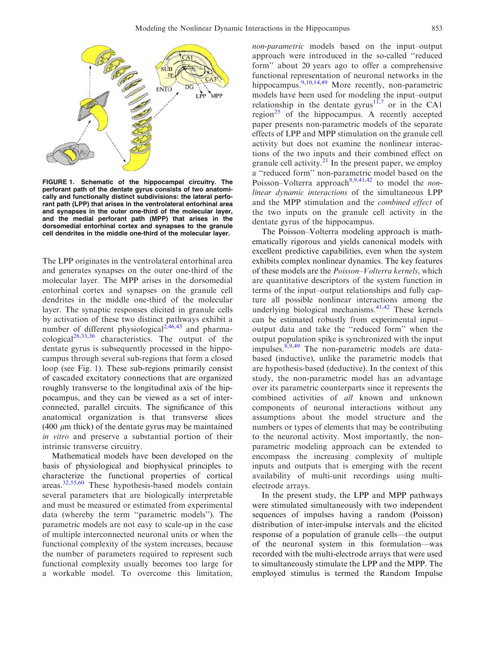<span id="page-1-0"></span>

FIGURE 1. Schematic of the hippocampal circuitry. The perforant path of the dentate gyrus consists of two anatomically and functionally distinct subdivisions: the lateral perforant path (LPP) that arises in the ventrolateral entorhinal area and synapses in the outer one-third of the molecular layer, and the medial perforant path (MPP) that arises in the dorsomedial entorhinal cortex and synapses to the granule cell dendrites in the middle one-third of the molecular layer.

The LPP originates in the ventrolateral entorhinal area and generates synapses on the outer one-third of the molecular layer. The MPP arises in the dorsomedial entorhinal cortex and synapses on the granule cell dendrites in the middle one-third of the molecular layer. The synaptic responses elicited in granule cells by activation of these two distinct pathways exhibit a number of different physiological<sup>[2](#page-11-0)[,46,45](#page-12-0)</sup> and pharmacological[28,33,](#page-11-0)[36](#page-12-0) characteristics. The output of the dentate gyrus is subsequently processed in the hippocampus through several sub-regions that form a closed loop (see Fig. 1). These sub-regions primarily consist of cascaded excitatory connections that are organized roughly transverse to the longitudinal axis of the hippocampus, and they can be viewed as a set of interconnected, parallel circuits. The significance of this anatomical organization is that transverse slices (400  $\mu$ m thick) of the dentate gyrus may be maintained in vitro and preserve a substantial portion of their intrinsic transverse circuitry.

Mathematical models have been developed on the basis of physiological and biophysical principles to characterize the functional properties of cortical areas.[32](#page-11-0)[,55,60](#page-12-0) These hypothesis-based models contain several parameters that are biologically interpretable and must be measured or estimated from experimental data (whereby the term ''parametric models''). The parametric models are not easy to scale-up in the case of multiple interconnected neuronal units or when the functional complexity of the system increases, because the number of parameters required to represent such functional complexity usually becomes too large for a workable model. To overcome this limitation,

non-parametric models based on the input–output approach were introduced in the so-called ''reduced form'' about 20 years ago to offer a comprehensive functional representation of neuronal networks in the hippocampus.<sup>[9,10,14,](#page-11-0)[49](#page-12-0)</sup> More recently, non-parametric models have been used for modeling the input–output relationship in the dentate gyrus<sup>[11,7](#page-11-0)</sup> or in the CA1 region<sup>[25](#page-11-0)</sup> of the hippocampus. A recently accepted paper presents non-parametric models of the separate effects of LPP and MPP stimulation on the granule cell activity but does not examine the nonlinear interactions of the two inputs and their combined effect on granule cell activity. $21$  In the present paper, we employ a ''reduced form'' non-parametric model based on the Poisson–Volterra approach<sup>[8,9](#page-11-0)[,41,42](#page-12-0)</sup> to model the *non*linear dynamic interactions of the simultaneous LPP and the MPP stimulation and the combined effect of the two inputs on the granule cell activity in the dentate gyrus of the hippocampus.

The Poisson–Volterra modeling approach is mathematically rigorous and yields canonical models with excellent predictive capabilities, even when the system exhibits complex nonlinear dynamics. The key features of these models are the Poisson–Volterra kernels, which are quantitative descriptors of the system function in terms of the input–output relationships and fully capture all possible nonlinear interactions among the underlying biological mechanisms. $41,42$  These kernels can be estimated robustly from experimental input– output data and take the ''reduced form'' when the output population spike is synchronized with the input impulses.  $8,9,49$  $8,9,49$  The non-parametric models are databased (inductive), unlike the parametric models that are hypothesis-based (deductive). In the context of this study, the non-parametric model has an advantage over its parametric counterparts since it represents the combined activities of all known and unknown components of neuronal interactions without any assumptions about the model structure and the numbers or types of elements that may be contributing to the neuronal activity. Most importantly, the nonparametric modeling approach can be extended to encompass the increasing complexity of multiple inputs and outputs that is emerging with the recent availability of multi-unit recordings using multielectrode arrays.

In the present study, the LPP and MPP pathways were stimulated simultaneously with two independent sequences of impulses having a random (Poisson) distribution of inter-impulse intervals and the elicited response of a population of granule cells—the output of the neuronal system in this formulation—was recorded with the multi-electrode arrays that were used to simultaneously stimulate the LPP and the MPP. The employed stimulus is termed the Random Impulse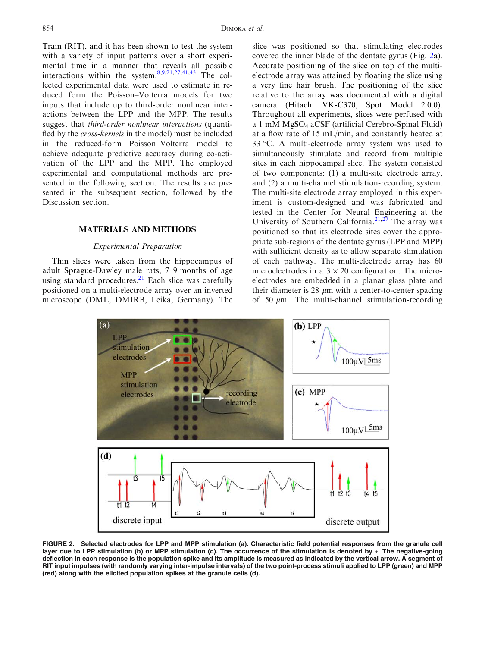<span id="page-2-0"></span>Train (RIT), and it has been shown to test the system with a variety of input patterns over a short experimental time in a manner that reveals all possible interactions within the system.[8,9,21,27,](#page-11-0)[41,43](#page-12-0) The collected experimental data were used to estimate in reduced form the Poisson–Volterra models for two inputs that include up to third-order nonlinear interactions between the LPP and the MPP. The results suggest that third-order nonlinear interactions (quantified by the cross-kernels in the model) must be included in the reduced-form Poisson–Volterra model to achieve adequate predictive accuracy during co-activation of the LPP and the MPP. The employed experimental and computational methods are presented in the following section. The results are presented in the subsequent section, followed by the Discussion section.

## MATERIALS AND METHODS

### Experimental Preparation

Thin slices were taken from the hippocampus of adult Sprague-Dawley male rats, 7–9 months of age using standard procedures.<sup>[21](#page-11-0)</sup> Each slice was carefully positioned on a multi-electrode array over an inverted microscope (DML, DMIRB, Leika, Germany). The

slice was positioned so that stimulating electrodes covered the inner blade of the dentate gyrus (Fig. 2a). Accurate positioning of the slice on top of the multielectrode array was attained by floating the slice using a very fine hair brush. The positioning of the slice relative to the array was documented with a digital camera (Hitachi VK-C370, Spot Model 2.0.0). Throughout all experiments, slices were perfused with a 1 mM MgSO4 aCSF (artificial Cerebro-Spinal Fluid) at a flow rate of 15 mL/min, and constantly heated at 33 °C. A multi-electrode array system was used to simultaneously stimulate and record from multiple sites in each hippocampal slice. The system consisted of two components: (1) a multi-site electrode array, and (2) a multi-channel stimulation-recording system. The multi-site electrode array employed in this experiment is custom-designed and was fabricated and tested in the Center for Neural Engineering at the University of Southern California.<sup>[21,27](#page-11-0)</sup> The array was positioned so that its electrode sites cover the appropriate sub-regions of the dentate gyrus (LPP and MPP) with sufficient density as to allow separate stimulation of each pathway. The multi-electrode array has 60 microelectrodes in a  $3 \times 20$  configuration. The microelectrodes are embedded in a planar glass plate and their diameter is 28  $\mu$ m with a center-to-center spacing of 50  $\mu$ m. The multi-channel stimulation-recording



FIGURE 2. Selected electrodes for LPP and MPP stimulation (a). Characteristic field potential responses from the granule cell layer due to LPP stimulation (b) or MPP stimulation (c). The occurrence of the stimulation is denoted by  $\star$ . The negative-going deflection in each response is the population spike and its amplitude is measured as indicated by the vertical arrow. A segment of RIT input impulses (with randomly varying inter-impulse intervals) of the two point-process stimuli applied to LPP (green) and MPP (red) along with the elicited population spikes at the granule cells (d).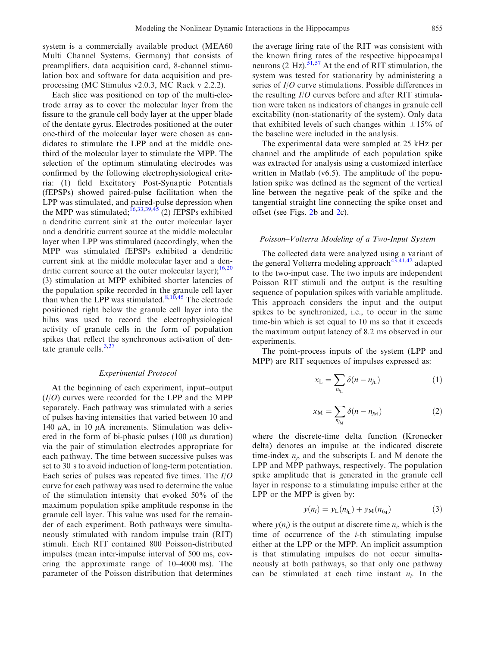system is a commercially available product (MEA60 Multi Channel Systems, Germany) that consists of preamplifiers, data acquisition card, 8-channel stimulation box and software for data acquisition and preprocessing (MC Stimulus v2.0.3, MC Rack v 2.2.2).

Each slice was positioned on top of the multi-electrode array as to cover the molecular layer from the fissure to the granule cell body layer at the upper blade of the dentate gyrus. Electrodes positioned at the outer one-third of the molecular layer were chosen as candidates to stimulate the LPP and at the middle onethird of the molecular layer to stimulate the MPP. The selection of the optimum stimulating electrodes was confirmed by the following electrophysiological criteria: (1) field Excitatory Post-Synaptic Potentials (fEPSPs) showed paired-pulse facilitation when the LPP was stimulated, and paired-pulse depression when the MPP was stimulated;  $^{16,33,39,45}$  $^{16,33,39,45}$  $^{16,33,39,45}$  $^{16,33,39,45}$  (2) fEPSPs exhibited a dendritic current sink at the outer molecular layer and a dendritic current source at the middle molecular layer when LPP was stimulated (accordingly, when the MPP was stimulated fEPSPs exhibited a dendritic current sink at the middle molecular layer and a dendritic current source at the outer molecular layer); $^{16,20}$  $^{16,20}$  $^{16,20}$ (3) stimulation at MPP exhibited shorter latencies of the population spike recorded in the granule cell layer than when the LPP was stimulated. $8,10,45$  $8,10,45$  The electrode positioned right below the granule cell layer into the hilus was used to record the electrophysiological activity of granule cells in the form of population spikes that reflect the synchronous activation of dentate granule cells. $3,37$  $3,37$ 

#### Experimental Protocol

At the beginning of each experiment, input–output  $(I/O)$  curves were recorded for the LPP and the MPP separately. Each pathway was stimulated with a series of pulses having intensities that varied between 10 and 140  $\mu$ A, in 10  $\mu$ A increments. Stimulation was delivered in the form of bi-phasic pulses (100  $\mu$ s duration) via the pair of stimulation electrodes appropriate for each pathway. The time between successive pulses was set to 30 s to avoid induction of long-term potentiation. Each series of pulses was repeated five times. The I/O curve for each pathway was used to determine the value of the stimulation intensity that evoked 50% of the maximum population spike amplitude response in the granule cell layer. This value was used for the remainder of each experiment. Both pathways were simultaneously stimulated with random impulse train (RIT) stimuli. Each RIT contained 800 Poisson-distributed impulses (mean inter-impulse interval of 500 ms, covering the approximate range of 10–4000 ms). The parameter of the Poisson distribution that determines the average firing rate of the RIT was consistent with the known firing rates of the respective hippocampal neurons (2 Hz).<sup>[51,57](#page-12-0)</sup> At the end of RIT stimulation, the system was tested for stationarity by administering a series of  $I/O$  curve stimulations. Possible differences in the resulting  $I/O$  curves before and after RIT stimulation were taken as indicators of changes in granule cell excitability (non-stationarity of the system). Only data that exhibited levels of such changes within  $\pm 15\%$  of the baseline were included in the analysis.

The experimental data were sampled at 25 kHz per channel and the amplitude of each population spike was extracted for analysis using a customized interface written in Matlab (v6.5). The amplitude of the population spike was defined as the segment of the vertical line between the negative peak of the spike and the tangential straight line connecting the spike onset and offset (see Figs. [2b](#page-2-0) and [2c](#page-2-0)).

#### Poisson–Volterra Modeling of a Two-Input System

The collected data were analyzed using a variant of the general Volterra modeling approach $4\overline{3},41,42$  adapted to the two-input case. The two inputs are independent Poisson RIT stimuli and the output is the resulting sequence of population spikes with variable amplitude. This approach considers the input and the output spikes to be synchronized, i.e., to occur in the same time-bin which is set equal to 10 ms so that it exceeds the maximum output latency of 8.2 ms observed in our experiments.

The point-process inputs of the system (LPP and MPP) are RIT sequences of impulses expressed as:

$$
x_{\rm L} = \sum_{n_{j_{\rm L}}} \delta(n - n_{j_{\rm L}}) \tag{1}
$$

$$
x_{\mathbf{M}} = \sum_{n_{j_{\mathbf{M}}}} \delta(n - n_{j_{\mathbf{M}}}) \tag{2}
$$

where the discrete-time delta function (Kronecker delta) denotes an impulse at the indicated discrete time-index  $n_i$ , and the subscripts L and M denote the LPP and MPP pathways, respectively. The population spike amplitude that is generated in the granule cell layer in response to a stimulating impulse either at the LPP or the MPP is given by:

$$
y(n_i) = y_L(n_{i_L}) + y_M(n_{i_M})
$$
 (3)

where  $y(n_i)$  is the output at discrete time  $n_i$ , which is the time of occurrence of the  $i$ -th stimulating impulse either at the LPP or the MPP. An implicit assumption is that stimulating impulses do not occur simultaneously at both pathways, so that only one pathway can be stimulated at each time instant  $n_i$ . In the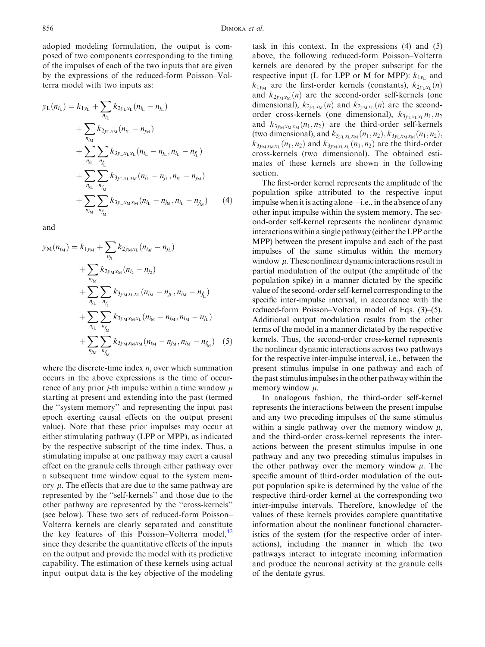adopted modeling formulation, the output is composed of two components corresponding to the timing of the impulses of each of the two inputs that are given by the expressions of the reduced-form Poisson–Volterra model with two inputs as:

$$
y_{L}(n_{i_{L}}) = k_{1y_{L}} + \sum_{n_{j_{L}}} k_{2y_{L}x_{L}}(n_{i_{L}} - n_{j_{L}})
$$
  
+ 
$$
\sum_{n_{j_{M}}} k_{2y_{L}x_{M}}(n_{i_{L}} - n_{j_{M}})
$$
  
+ 
$$
\sum_{n_{j_{L}}} \sum_{n_{j'_{L}}} k_{3y_{L}x_{L}x_{L}}(n_{i_{L}} - n_{j_{L}}, n_{i_{L}} - n_{j'_{L}})
$$
  
+ 
$$
\sum_{n_{j_{L}}} \sum_{n_{j'_{M}}} k_{3y_{L}x_{L}x_{M}}(n_{i_{L}} - n_{j_{L}}, n_{i_{L}} - n_{j_{M}})
$$
  
+ 
$$
\sum_{n_{j_{M}}} \sum_{n_{j'_{M}}} k_{3y_{L}x_{M}x_{M}}(n_{i_{L}} - n_{j_{M}}, n_{i_{L}} - n_{j_{M}})
$$
(4)

and

$$
y_{\rm M}(n_{i_{\rm M}}) = k_{1y_{\rm M}} + \sum_{n_{j_{\rm L}}} k_{2y_{\rm M}x_{\rm L}} (n_{i_{\rm M}} - n_{j_{\rm L}})
$$
  
+ 
$$
\sum_{n_{j_{\rm M}}} k_{2y_{\rm M}x_{\rm M}} (n_{i_2} - n_{j_2})
$$
  
+ 
$$
\sum_{n_{j_{\rm L}}} \sum_{n_{j_{\rm L}}} k_{3y_{\rm M}x_{\rm L}x_{\rm L}} (n_{i_{\rm M}} - n_{j_{\rm L}}, n_{i_{\rm M}} - n_{j_{\rm L}})
$$
  
+ 
$$
\sum_{n_{j_{\rm L}}} \sum_{n_{j_{\rm M}}} k_{3y_{\rm M}x_{\rm M}x_{\rm L}} (n_{i_{\rm M}} - n_{j_{\rm M}}, n_{i_{\rm M}} - n_{j_{\rm L}})
$$
  
+ 
$$
\sum_{n_{j_{\rm M}}} \sum_{n_{j_{\rm M}}} k_{3y_{\rm M}x_{\rm M}x_{\rm M}} (n_{i_{\rm M}} - n_{j_{\rm M}}, n_{i_{\rm M}} - n_{j_{\rm M}})
$$
(5)

where the discrete-time index  $n_i$  over which summation occurs in the above expressions is the time of occurrence of any prior *j*-th impulse within a time window  $\mu$ starting at present and extending into the past (termed the ''system memory'' and representing the input past epoch exerting causal effects on the output present value). Note that these prior impulses may occur at either stimulating pathway (LPP or MPP), as indicated by the respective subscript of the time index. Thus, a stimulating impulse at one pathway may exert a causal effect on the granule cells through either pathway over a subsequent time window equal to the system memory  $\mu$ . The effects that are due to the same pathway are represented by the ''self-kernels'' and those due to the other pathway are represented by the ''cross-kernels'' (see below). These two sets of reduced-form Poisson– Volterra kernels are clearly separated and constitute the key features of this Poisson–Volterra model, $42$ since they describe the quantitative effects of the inputs on the output and provide the model with its predictive capability. The estimation of these kernels using actual input–output data is the key objective of the modeling task in this context. In the expressions (4) and (5) above, the following reduced-form Poisson–Volterra kernels are denoted by the proper subscript for the respective input (L for LPP or M for MPP):  $k_{1y_L}$  and  $k_{1y_M}$  are the first-order kernels (constants),  $k_{2y_Lx_L}(n)$ and  $k_{2y_Mx_M}(n)$  are the second-order self-kernels (one dimensional),  $k_{2y_Lx_M}(n)$  and  $k_{2y_Mx_L}(n)$  are the secondorder cross-kernels (one dimensional),  $k_{3y_Lx_Lx_L}n_1, n_2$ and  $k_{3y_Mx_Mx_M}(n_1, n_2)$  are the third-order self-kernels (two dimensional), and  $k_{3y_Lx_Lx_M}(n_1, n_2)$ ,  $k_{3y_Lx_Mx_M}(n_1, n_2)$ ,  $k_{3y_Mx_Mx_L}(n_1, n_2)$  and  $k_{3y_Mx_Lx_L}(n_1, n_2)$  are the third-order cross-kernels (two dimensional). The obtained estimates of these kernels are shown in the following section.

The first-order kernel represents the amplitude of the population spike attributed to the respective input impulse when it is acting alone—i.e., in the absence of any other input impulse within the system memory. The second-order self-kernel represents the nonlinear dynamic interactions within a single pathway (either the LPP or the MPP) between the present impulse and each of the past impulses of the same stimulus within the memory window  $\mu$ . These nonlinear dynamic interactions result in partial modulation of the output (the amplitude of the population spike) in a manner dictated by the specific value of the second-order self-kernel corresponding to the specific inter-impulse interval, in accordance with the reduced-form Poisson–Volterra model of Eqs. (3)–(5). Additional output modulation results from the other terms of the model in a manner dictated by the respective kernels. Thus, the second-order cross-kernel represents the nonlinear dynamic interactions across two pathways for the respective inter-impulse interval, i.e., between the present stimulus impulse in one pathway and each of the past stimulus impulses in the other pathway within the memory window  $\mu$ .

In analogous fashion, the third-order self-kernel represents the interactions between the present impulse and any two preceding impulses of the same stimulus within a single pathway over the memory window  $\mu$ , and the third-order cross-kernel represents the interactions between the present stimulus impulse in one pathway and any two preceding stimulus impulses in the other pathway over the memory window  $\mu$ . The specific amount of third-order modulation of the output population spike is determined by the value of the respective third-order kernel at the corresponding two inter-impulse intervals. Therefore, knowledge of the values of these kernels provides complete quantitative information about the nonlinear functional characteristics of the system (for the respective order of interactions), including the manner in which the two pathways interact to integrate incoming information and produce the neuronal activity at the granule cells of the dentate gyrus.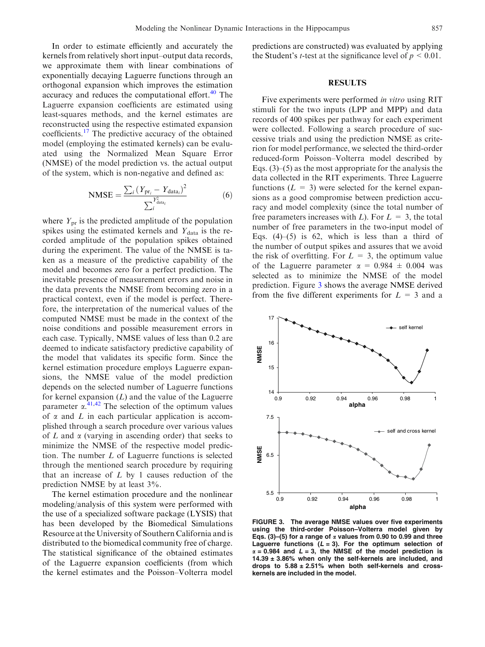In order to estimate efficiently and accurately the kernels from relatively short input–output data records, we approximate them with linear combinations of exponentially decaying Laguerre functions through an orthogonal expansion which improves the estimation accuracy and reduces the computational effort. $40$  The Laguerre expansion coefficients are estimated using least-squares methods, and the kernel estimates are reconstructed using the respective estimated expansion coefficients.<sup>[17](#page-11-0)</sup> The predictive accuracy of the obtained model (employing the estimated kernels) can be evaluated using the Normalized Mean Square Error (NMSE) of the model prediction vs. the actual output of the system, which is non-negative and defined as:

NMSE = 
$$
\frac{\sum_{i} (Y_{\text{pr}_{i}} - Y_{\text{data}_{i}})^{2}}{\sum_{i} Y_{\text{data}_{i}}^{2}}
$$
 (6)

where  $Y_{\text{pr}}$  is the predicted amplitude of the population spikes using the estimated kernels and  $Y_{data}$  is the recorded amplitude of the population spikes obtained during the experiment. The value of the NMSE is taken as a measure of the predictive capability of the model and becomes zero for a perfect prediction. The inevitable presence of measurement errors and noise in the data prevents the NMSE from becoming zero in a practical context, even if the model is perfect. Therefore, the interpretation of the numerical values of the computed NMSE must be made in the context of the noise conditions and possible measurement errors in each case. Typically, NMSE values of less than 0.2 are deemed to indicate satisfactory predictive capability of the model that validates its specific form. Since the kernel estimation procedure employs Laguerre expansions, the NMSE value of the model prediction depends on the selected number of Laguerre functions for kernel expansion  $(L)$  and the value of the Laguerre parameter  $\alpha$ <sup>[41,42](#page-12-0)</sup> The selection of the optimum values of  $\alpha$  and  $L$  in each particular application is accomplished through a search procedure over various values of  $L$  and  $\alpha$  (varying in ascending order) that seeks to minimize the NMSE of the respective model prediction. The number  $L$  of Laguerre functions is selected through the mentioned search procedure by requiring that an increase of  $L$  by 1 causes reduction of the prediction NMSE by at least 3%.

The kernel estimation procedure and the nonlinear modeling/analysis of this system were performed with the use of a specialized software package (LYSIS) that has been developed by the Biomedical Simulations Resource at the University of Southern California and is distributed to the biomedical community free of charge. The statistical significance of the obtained estimates of the Laguerre expansion coefficients (from which the kernel estimates and the Poisson–Volterra model predictions are constructed) was evaluated by applying the Student's *t*-test at the significance level of  $p < 0.01$ .

#### RESULTS

Five experiments were performed in vitro using RIT stimuli for the two inputs (LPP and MPP) and data records of 400 spikes per pathway for each experiment were collected. Following a search procedure of successive trials and using the prediction NMSE as criterion for model performance, we selected the third-order reduced-form Poisson–Volterra model described by Eqs. (3)–(5) as the most appropriate for the analysis the data collected in the RIT experiments. Three Laguerre functions  $(L = 3)$  were selected for the kernel expansions as a good compromise between prediction accuracy and model complexity (since the total number of free parameters increases with L). For  $L = 3$ , the total number of free parameters in the two-input model of Eqs.  $(4)$ – $(5)$  is 62, which is less than a third of the number of output spikes and assures that we avoid the risk of overfitting. For  $L = 3$ , the optimum value of the Laguerre parameter  $\alpha = 0.984 \pm 0.004$  was selected as to minimize the NMSE of the model prediction. Figure 3 shows the average NMSE derived from the five different experiments for  $L = 3$  and a



FIGURE 3. The average NMSE values over five experiments using the third-order Poisson–Volterra model given by Eqs. (3)–(5) for a range of  $\alpha$  values from 0.90 to 0.99 and three Laguerre functions  $(L = 3)$ . For the optimum selection of  $\alpha$  = 0.984 and L = 3, the NMSE of the model prediction is  $14.39 \pm 3.86$ % when only the self-kernels are included, and drops to  $5.88 \pm 2.51\%$  when both self-kernels and crosskernels are included in the model.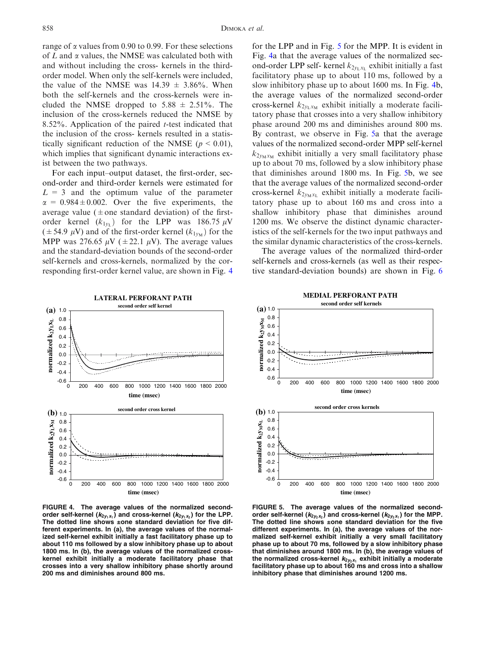range of  $\alpha$  values from 0.90 to 0.99. For these selections of  $L$  and  $\alpha$  values, the NMSE was calculated both with and without including the cross- kernels in the thirdorder model. When only the self-kernels were included, the value of the NMSE was  $14.39 \pm 3.86\%$ . When both the self-kernels and the cross-kernels were included the NMSE dropped to  $5.88 \pm 2.51\%$ . The inclusion of the cross-kernels reduced the NMSE by 8.52%. Application of the paired  $t$ -test indicated that the inclusion of the cross- kernels resulted in a statistically significant reduction of the NMSE ( $p < 0.01$ ), which implies that significant dynamic interactions exist between the two pathways.

For each input–output dataset, the first-order, second-order and third-order kernels were estimated for  $L = 3$  and the optimum value of the parameter  $\alpha = 0.984 \pm 0.002$ . Over the five experiments, the average value ( $\pm$  one standard deviation) of the firstorder kernel  $(k_{1y_L})$  for the LPP was 186.75  $\mu$ V  $(\pm 54.9 \,\mu\text{V})$  and of the first-order kernel  $(k_{1y_M})$  for the MPP was 276.65  $\mu$ V ( $\pm$ 22.1  $\mu$ V). The average values and the standard-deviation bounds of the second-order self-kernels and cross-kernels, normalized by the corresponding first-order kernel value, are shown in Fig. 4



FIGURE 4. The average values of the normalized secondorder self-kernel ( $k_{2y_1x_1}$ ) and cross-kernel ( $k_{2y_1x_2}$ ) for the LPP. The dotted line shows ±one standard deviation for five different experiments. In (a), the average values of the normalized self-kernel exhibit initially a fast facilitatory phase up to about 110 ms followed by a slow inhibitory phase up to about 1800 ms. In (b), the average values of the normalized crosskernel exhibit initially a moderate facilitatory phase that crosses into a very shallow inhibitory phase shortly around 200 ms and diminishes around 800 ms.

for the LPP and in Fig. 5 for the MPP. It is evident in Fig. 4a that the average values of the normalized second-order LPP self- kernel  $k_{2y_Lx_L}$  exhibit initially a fast facilitatory phase up to about 110 ms, followed by a slow inhibitory phase up to about 1600 ms. In Fig. 4b, the average values of the normalized second-order cross-kernel  $k_{2y_Lx_M}$  exhibit initially a moderate facilitatory phase that crosses into a very shallow inhibitory phase around 200 ms and diminishes around 800 ms. By contrast, we observe in Fig. 5a that the average values of the normalized second-order MPP self-kernel  $k_{2v_{\text{MAX}}}$  exhibit initially a very small facilitatory phase up to about 70 ms, followed by a slow inhibitory phase that diminishes around 1800 ms. In Fig. 5b, we see that the average values of the normalized second-order cross-kernel  $k_{2v_Mx_L}$  exhibit initially a moderate facilitatory phase up to about 160 ms and cross into a shallow inhibitory phase that diminishes around 1200 ms. We observe the distinct dynamic characteristics of the self-kernels for the two input pathways and the similar dynamic characteristics of the cross-kernels.

The average values of the normalized third-order self-kernels and cross-kernels (as well as their respective standard-deviation bounds) are shown in Fig. [6](#page-7-0)



FIGURE 5. The average values of the normalized secondorder self-kernel ( $k_{2y_2x_2}$ ) and cross-kernel ( $k_{2y_2x_1}$ ) for the MPP. The dotted line shows  $\pm$ one standard deviation for the five different experiments. In (a), the average values of the normalized self-kernel exhibit initially a very small facilitatory phase up to about 70 ms, followed by a slow inhibitory phase that diminishes around 1800 ms. In (b), the average values of the normalized cross-kernel  $k_{2y_2x_1}$  exhibit initially a moderate facilitatory phase up to about 160 ms and cross into a shallow inhibitory phase that diminishes around 1200 ms.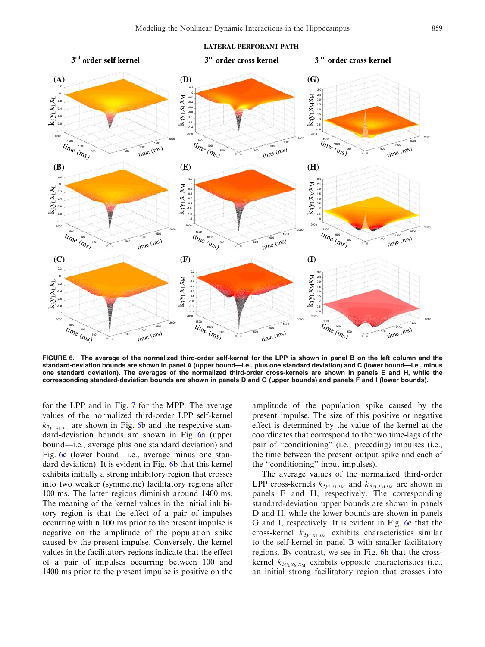<span id="page-7-0"></span>

FIGURE 6. The average of the normalized third-order self-kernel for the LPP is shown in panel B on the left column and the standard-deviation bounds are shown in panel A (upper bound—i.e., plus one standard deviation) and C (lower bound—i.e., minus one standard deviation). The averages of the normalized third-order cross-kernels are shown in panels E and H, while the corresponding standard-deviation bounds are shown in panels D and G (upper bounds) and panels F and I (lower bounds).

for the LPP and in Fig. [7](#page-8-0) for the MPP. The average values of the normalized third-order LPP self-kernel  $k_{3y_Lx_Lx_L}$  are shown in Fig. 6b and the respective standard-deviation bounds are shown in Fig. 6a (upper bound—i.e., average plus one standard deviation) and Fig. 6c (lower bound—i.e., average minus one standard deviation). It is evident in Fig. 6b that this kernel exhibits initially a strong inhibitory region that crosses into two weaker (symmetric) facilitatory regions after 100 ms. The latter regions diminish around 1400 ms. The meaning of the kernel values in the initial inhibitory region is that the effect of a pair of impulses occurring within 100 ms prior to the present impulse is negative on the amplitude of the population spike caused by the present impulse. Conversely, the kernel values in the facilitatory regions indicate that the effect of a pair of impulses occurring between 100 and 1400 ms prior to the present impulse is positive on the amplitude of the population spike caused by the present impulse. The size of this positive or negative effect is determined by the value of the kernel at the coordinates that correspond to the two time-lags of the pair of ''conditioning'' (i.e., preceding) impulses (i.e., the time between the present output spike and each of the ''conditioning'' input impulses).

The average values of the normalized third-order LPP cross-kernels  $k_{3y_Lx_Lx_M}$  and  $k_{3y_Lx_Mx_M}$  are shown in panels E and H, respectively. The corresponding standard-deviation upper bounds are shown in panels D and H, while the lower bounds are shown in panels G and I, respectively. It is evident in Fig. 6e that the cross-kernel  $k_{3y_Lx_Lx_M}$  exhibits characteristics similar to the self-kernel in panel B with smaller facilitatory regions. By contrast, we see in Fig. 6h that the crosskernel  $k_{3y_Lx_Mx_M}$  exhibits opposite characteristics (i.e., an initial strong facilitatory region that crosses into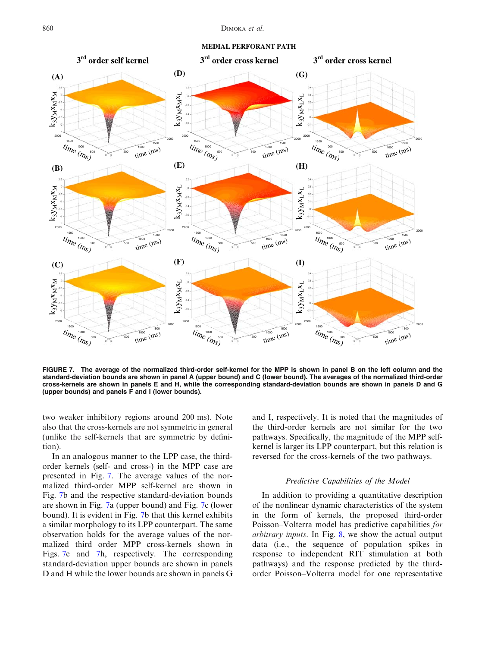<span id="page-8-0"></span>

FIGURE 7. The average of the normalized third-order self-kernel for the MPP is shown in panel B on the left column and the standard-deviation bounds are shown in panel A (upper bound) and C (lower bound). The averages of the normalized third-order cross-kernels are shown in panels E and H, while the corresponding standard-deviation bounds are shown in panels D and G (upper bounds) and panels F and I (lower bounds).

two weaker inhibitory regions around 200 ms). Note also that the cross-kernels are not symmetric in general (unlike the self-kernels that are symmetric by definition).

In an analogous manner to the LPP case, the thirdorder kernels (self- and cross-) in the MPP case are presented in Fig. 7. The average values of the normalized third-order MPP self-kernel are shown in Fig. 7b and the respective standard-deviation bounds are shown in Fig. 7a (upper bound) and Fig. 7c (lower bound). It is evident in Fig. 7b that this kernel exhibits a similar morphology to its LPP counterpart. The same observation holds for the average values of the normalized third order MPP cross-kernels shown in Figs. 7e and 7h, respectively. The corresponding standard-deviation upper bounds are shown in panels D and H while the lower bounds are shown in panels G and I, respectively. It is noted that the magnitudes of the third-order kernels are not similar for the two pathways. Specifically, the magnitude of the MPP selfkernel is larger its LPP counterpart, but this relation is reversed for the cross-kernels of the two pathways.

### Predictive Capabilities of the Model

In addition to providing a quantitative description of the nonlinear dynamic characteristics of the system in the form of kernels, the proposed third-order Poisson–Volterra model has predictive capabilities for arbitrary inputs. In Fig.  $8$ , we show the actual output data (i.e., the sequence of population spikes in response to independent RIT stimulation at both pathways) and the response predicted by the thirdorder Poisson–Volterra model for one representative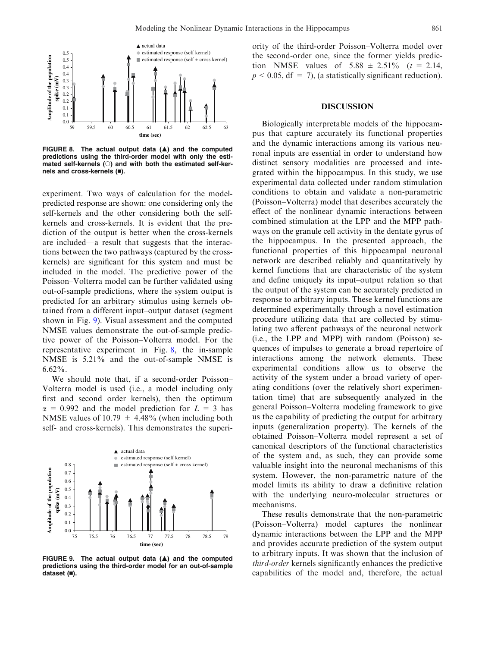<span id="page-9-0"></span>

FIGURE 8. The actual output data  $(A)$  and the computed predictions using the third-order model with only the estimated self-kernels  $( \circ )$  and with both the estimated self-kernels and cross-kernels  $($ 

experiment. Two ways of calculation for the modelpredicted response are shown: one considering only the self-kernels and the other considering both the selfkernels and cross-kernels. It is evident that the prediction of the output is better when the cross-kernels are included—a result that suggests that the interactions between the two pathways (captured by the crosskernels) are significant for this system and must be included in the model. The predictive power of the Poisson–Volterra model can be further validated using out-of-sample predictions, where the system output is predicted for an arbitrary stimulus using kernels obtained from a different input–output dataset (segment shown in Fig. 9). Visual assessment and the computed NMSE values demonstrate the out-of-sample predictive power of the Poisson–Volterra model. For the representative experiment in Fig. 8, the in-sample NMSE is 5.21% and the out-of-sample NMSE is 6.62%.

We should note that, if a second-order Poisson– Volterra model is used (i.e., a model including only first and second order kernels), then the optimum  $\alpha$  = 0.992 and the model prediction for  $L = 3$  has NMSE values of 10.79  $\pm$  4.48% (when including both self- and cross-kernels). This demonstrates the superi-



FIGURE 9. The actual output data  $(A)$  and the computed predictions using the third-order model for an out-of-sample dataset  $($ .

ority of the third-order Poisson–Volterra model over the second-order one, since the former yields prediction NMSE values of  $5.88 \pm 2.51\%$  (t = 2.14,  $p < 0.05$ , df = 7), (a statistically significant reduction).

## DISCUSSION

Biologically interpretable models of the hippocampus that capture accurately its functional properties and the dynamic interactions among its various neuronal inputs are essential in order to understand how distinct sensory modalities are processed and integrated within the hippocampus. In this study, we use experimental data collected under random stimulation conditions to obtain and validate a non-parametric (Poisson–Volterra) model that describes accurately the effect of the nonlinear dynamic interactions between combined stimulation at the LPP and the MPP pathways on the granule cell activity in the dentate gyrus of the hippocampus. In the presented approach, the functional properties of this hippocampal neuronal network are described reliably and quantitatively by kernel functions that are characteristic of the system and define uniquely its input–output relation so that the output of the system can be accurately predicted in response to arbitrary inputs. These kernel functions are determined experimentally through a novel estimation procedure utilizing data that are collected by stimulating two afferent pathways of the neuronal network (i.e., the LPP and MPP) with random (Poisson) sequences of impulses to generate a broad repertoire of interactions among the network elements. These experimental conditions allow us to observe the activity of the system under a broad variety of operating conditions (over the relatively short experimentation time) that are subsequently analyzed in the general Poisson–Volterra modeling framework to give us the capability of predicting the output for arbitrary inputs (generalization property). The kernels of the obtained Poisson–Volterra model represent a set of canonical descriptors of the functional characteristics of the system and, as such, they can provide some valuable insight into the neuronal mechanisms of this system. However, the non-parametric nature of the model limits its ability to draw a definitive relation with the underlying neuro-molecular structures or mechanisms.

These results demonstrate that the non-parametric (Poisson–Volterra) model captures the nonlinear dynamic interactions between the LPP and the MPP and provides accurate prediction of the system output to arbitrary inputs. It was shown that the inclusion of third-order kernels significantly enhances the predictive capabilities of the model and, therefore, the actual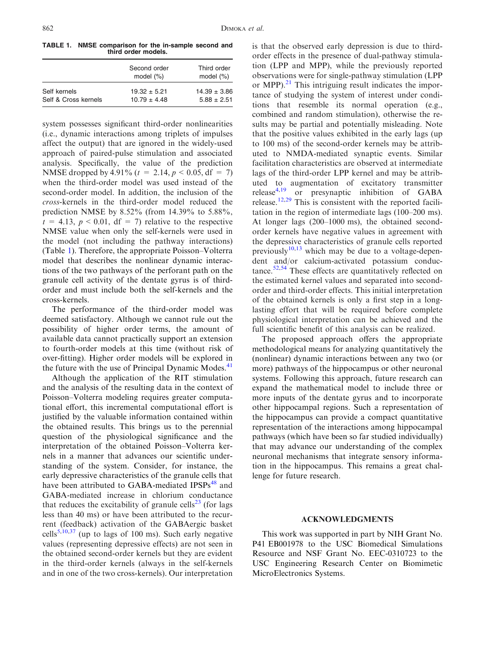TABLE 1. NMSE comparison for the in-sample second and third order models.

|                      | Second order<br>model $(\%)$ | Third order<br>model $(\%)$ |
|----------------------|------------------------------|-----------------------------|
| Self kernels         | $19.32 \pm 5.21$             | $14.39 \pm 3.86$            |
| Self & Cross kernels | $10.79 \pm 4.48$             | $5.88 \pm 2.51$             |

system possesses significant third-order nonlinearities (i.e., dynamic interactions among triplets of impulses affect the output) that are ignored in the widely-used approach of paired-pulse stimulation and associated analysis. Specifically, the value of the prediction NMSE dropped by 4.91% ( $t = 2.14$ ,  $p < 0.05$ , df = 7) when the third-order model was used instead of the second-order model. In addition, the inclusion of the cross-kernels in the third-order model reduced the prediction NMSE by 8.52% (from 14.39% to 5.88%,  $t = 4.13$ ,  $p < 0.01$ , df = 7) relative to the respective NMSE value when only the self-kernels were used in the model (not including the pathway interactions) (Table 1). Therefore, the appropriate Poisson–Volterra model that describes the nonlinear dynamic interactions of the two pathways of the perforant path on the granule cell activity of the dentate gyrus is of thirdorder and must include both the self-kernels and the cross-kernels.

The performance of the third-order model was deemed satisfactory. Although we cannot rule out the possibility of higher order terms, the amount of available data cannot practically support an extension to fourth-order models at this time (without risk of over-fitting). Higher order models will be explored in the future with the use of Principal Dynamic Modes. $41$ 

Although the application of the RIT stimulation and the analysis of the resulting data in the context of Poisson–Volterra modeling requires greater computational effort, this incremental computational effort is justified by the valuable information contained within the obtained results. This brings us to the perennial question of the physiological significance and the interpretation of the obtained Poisson–Volterra kernels in a manner that advances our scientific understanding of the system. Consider, for instance, the early depressive characteristics of the granule cells that have been attributed to GABA-mediated IPSPs<sup>[48](#page-12-0)</sup> and GABA-mediated increase in chlorium conductance that reduces the excitability of granule cells<sup>[23](#page-11-0)</sup> (for lags less than 40 ms) or have been attributed to the recurrent (feedback) activation of the GABAergic basket cells<sup>[5,10](#page-11-0)[,37](#page-12-0)</sup> (up to lags of 100 ms). Such early negative values (representing depressive effects) are not seen in the obtained second-order kernels but they are evident in the third-order kernels (always in the self-kernels and in one of the two cross-kernels). Our interpretation is that the observed early depression is due to thirdorder effects in the presence of dual-pathway stimulation (LPP and MPP), while the previously reported observations were for single-pathway stimulation (LPP or MPP). $^{21}$  $^{21}$  $^{21}$  This intriguing result indicates the importance of studying the system of interest under conditions that resemble its normal operation (e.g., combined and random stimulation), otherwise the results may be partial and potentially misleading. Note that the positive values exhibited in the early lags (up to 100 ms) of the second-order kernels may be attributed to NMDA-mediated synaptic events. Similar facilitation characteristics are observed at intermediate lags of the third-order LPP kernel and may be attributed to augmentation of excitatory transmitter release<sup>[4,19](#page-11-0)</sup> or presynaptic inhibition of GABA release.<sup>[12,29](#page-11-0)</sup> This is consistent with the reported facilitation in the region of intermediate lags (100–200 ms). At longer lags (200–1000 ms), the obtained secondorder kernels have negative values in agreement with the depressive characteristics of granule cells reported previously<sup>[10,13](#page-11-0)</sup> which may be due to a voltage-dependent and/or calcium-activated potassium conductance. $52,54$  These effects are quantitatively reflected on the estimated kernel values and separated into secondorder and third-order effects. This initial interpretation of the obtained kernels is only a first step in a longlasting effort that will be required before complete physiological interpretation can be achieved and the full scientific benefit of this analysis can be realized.

The proposed approach offers the appropriate methodological means for analyzing quantitatively the (nonlinear) dynamic interactions between any two (or more) pathways of the hippocampus or other neuronal systems. Following this approach, future research can expand the mathematical model to include three or more inputs of the dentate gyrus and to incorporate other hippocampal regions. Such a representation of the hippocampus can provide a compact quantitative representation of the interactions among hippocampal pathways (which have been so far studied individually) that may advance our understanding of the complex neuronal mechanisms that integrate sensory information in the hippocampus. This remains a great challenge for future research.

#### ACKNOWLEDGMENTS

This work was supported in part by NIH Grant No. P41 EB001978 to the USC Biomedical Simulations Resource and NSF Grant No. EEC-0310723 to the USC Engineering Research Center on Biomimetic MicroElectronics Systems.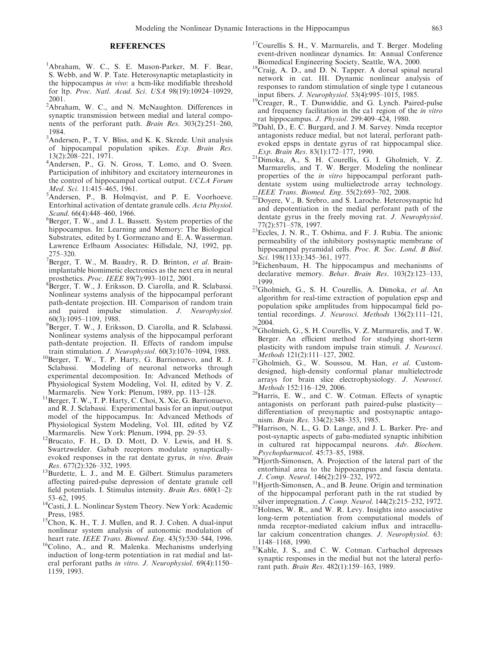## REFERENCES

- <span id="page-11-0"></span><sup>1</sup>Abraham, W. C., S. E. Mason-Parker, M. F. Bear, S. Webb, and W. P. Tate. Heterosynaptic metaplasticity in the hippocampus in vivo: a bcm-like modifiable threshold for ltp. Proc. Natl. Acad. Sci. USA 98(19):10924–10929, 2001.
- <sup>2</sup>Abraham, W. C., and N. McNaughton. Differences in synaptic transmission between medial and lateral components of the perforant path. Brain Res. 303(2):251–260, 1984.
- <sup>3</sup>Andersen, P., T. V. Bliss, and K. K. Skrede. Unit analysis of hippocampal population spikes. Exp. Brain Res. 13(2):208–221, 1971.
- <sup>4</sup>Andersen, P., G. N. Gross, T. Lomo, and O. Sveen. Participation of inhibitory and excitatory interneurones in the control of hippocampal cortical output. UCLA Forum Med. Sci. 11:415-465, 1961.
- <sup>5</sup>Andersen, P., B. Holmqvist, and P. E. Voorhoeve. Entorhinal activation of dentate granule cells. Acta Physiol. Scand. 66(4):448-460, 1966.
- <sup>6</sup>Berger, T. W., and J. L. Bassett. System properties of the hippocampus. In: Learning and Memory: The Biological Substrates, edited by I. Gormezano and E. A. Wasserman. Lawrence Erlbaum Associates: Hillsdale, NJ, 1992, pp. 275–320.
- <sup>7</sup>Berger, T. W., M. Baudry, R. D. Brinton, et al. Brainimplantable biomimetic electronics as the next era in neural prosthetics. Proc. IEEE 89(7):993–1012, 2001. <sup>8</sup>
- <sup>8</sup>Berger, T. W., J. Eriksson, D. Ciarolla, and R. Sclabassi. Nonlinear systems analysis of the hippocampal perforant path-dentate projection. III. Comparison of random train and paired impulse stimulation. J. Neurophysiol. 60(3):1095–1109, 1988.
- <sup>9</sup>Berger, T. W., J. Eriksson, D. Ciarolla, and R. Sclabassi. Nonlinear systems analysis of the hippocampal perforant path-dentate projection. II. Effects of random impulse train stimulation. *J. Neurophysiol.* 60(3):1076-1094, 1988.
- $10$ Berger, T. W., T. P. Harty, G. Barrionuevo, and R. J. Sclabassi. Modeling of neuronal networks through experimental decomposition. In: Advanced Methods of Physiological System Modeling, Vol. II, edited by V. Z.
- Marmarelis. New York: Plenum, 1989, pp. 113-128.<br><sup>11</sup>Berger, T. W., T. P. Harty, C. Choi, X. Xie, G. Barrionuevo, and R. J. Sclabassi. Experimental basis for an input/output model of the hippocampus. In: Advanced Methods of Physiological System Modeling, Vol. III, edited by VZ
- Marmarelis. New York: Plenum, 1994, pp. 29–53.<br><sup>12</sup>Brucato, F. H., D. D. Mott, D. V. Lewis, and H. S. Swartzwelder. Gabab receptors modulate synapticallyevoked responses in the rat dentate gyrus, in vivo. Brain
- Res. 677(2):326–332, 1995.<br><sup>13</sup>Burdette, L. J., and M. E. Gilbert. Stimulus parameters affecting paired-pulse depression of dentate granule cell field potentials. I. Stimulus intensity. Brain Res. 680(1–2): 53–62, 1995. 14Casti, J. L. Nonlinear System Theory. New York: Academic
- 
- Press, 1985.<br><sup>15</sup>Chon, K. H., T. J. Mullen, and R. J. Cohen. A dual-input nonlinear system analysis of autonomic modulation of
- heart rate. IEEE Trans. Biomed. Eng. 43(5):530–544, 1996.<br><sup>16</sup>Colino, A., and R. Malenka. Mechanisms underlying induction of long-term potentiation in rat medial and lateral perforant paths in vitro. J. Neurophysiol. 69(4):1150– 1159, 1993.
- <sup>17</sup>Courellis S. H., V. Marmarelis, and T. Berger. Modeling event-driven nonlinear dynamics. In: Annual Conference
- Biomedical Engineering Society, Seattle, WA, 2000. 18Craig, A. D., and D. N. Tapper. A dorsal spinal neural network in cat. III. Dynamic nonlinear analysis of responses to random stimulation of single type 1 cutaneous
- input fibers. J. Neurophysiol. 53(4):995–1015, 1985. 19Creager, R., T. Dunwiddie, and G. Lynch. Paired-pulse and frequency facilitation in the ca1 region of the *in vitro* rat hippocampus. *J. Physiol.* 299:409–424, 1980.
- <sup>20</sup>Dahl, D., E. C. Burgard, and J. M. Sarvey. Nmda receptor antagonists reduce medial, but not lateral, perforant pathevoked epsps in dentate gyrus of rat hippocampal slice. Exp. Brain Res. 83(1):172–177, 1990.<br><sup>21</sup>Dimoka, A., S. H. Courellis, G. I. Gholmieh, V. Z.
- Marmarelis, and T. W. Berger. Modeling the nonlinear properties of the in vitro hippocampal perforant pathdentate system using multielectrode array technology.<br>IEEE Trans. Biomed. Eng. 55(2):693-702, 2008.
- <sup>22</sup>Doyere, V., B. Srebro, and S. Laroche. Heterosynaptic ltd and depotentiation in the medial perforant path of the dentate gyrus in the freely moving rat. J. Neurophysiol.<br>77(2):571–578, 1997.
- $23Eccles, J. N. R., T. Oshima, and F. J. Rubia. The anionic$ permeability of the inhibitory postsynaptic membrane of hippocampal pyramidal cells. Proc. R. Soc. Lond. B Biol. Sci. 198(1133):345-361, 1977.
- $24$ Eichenbaum, H. The hippocampus and mechanisms of declarative memory. Behav. Brain Res. 103(2):123–133, 1999.<br><sup>25</sup>Gholmieh, G., S. H. Courellis, A. Dimoka, et al. An
- algorithm for real-time extraction of population epsp and population spike amplitudes from hippocampal field potential recordings. J. Neurosci. Methods 136(2):111–121,
- 2004. <sup>26</sup>Gholmieh, G., S. H. Courellis, V. Z. Marmarelis, and T. W. Berger. An efficient method for studying short-term plasticity with random impulse train stimuli. J. Neurosci.
- *Methods* 121(2):111–127, 2002.<br><sup>27</sup>Gholmieh, G., W. Soussou, M. Han, *et al.* Customdesigned, high-density conformal planar multielectrode arrays for brain slice electrophysiology. J. Neurosci.
- *Methods* 152:116–129, 2006.<br><sup>28</sup>Harris, E. W., and C. W. Cotman. Effects of synaptic antagonists on perforant path paired-pulse plasticity differentiation of presynaptic and postsynaptic antago-
- nism. *Brain Res.* 334(2):348–353, 1985.<br><sup>29</sup>Harrison, N. L., G. D. Lange, and J. L. Barker. Pre- and post-synaptic aspects of gaba-mediated synaptic inhibition in cultured rat hippocampal neurons. Adv. Biochem.<br>Psychopharmacol. 45:73–85, 1988.
- <sup>30</sup>Hjorth-Simonsen, A. Projection of the lateral part of the entorhinal area to the hippocampus and fascia dentata.<br>*J. Comp. Neurol.* 146(2):219–232, 1972.
- <sup>31</sup>Hjorth-Simonsen, A., and B. Jeune. Origin and termination of the hippocampal perforant path in the rat studied by
- silver impregnation. *J. Comp. Neurol.*  $144(2):215-232$ , 1972.  $32Holmes, W. R., and W. R. Levy. Insights into associative$ long-term potentiation from computational models of nmda receptor-mediated calcium influx and intracellular calcium concentration changes. J. Neurophysiol. 63: 1148-1168, 1990.
- <sup>33</sup>Kahle, J. S., and C. W. Cotman. Carbachol depresses synaptic responses in the medial but not the lateral perforant path. Brain Res. 482(1):159–163, 1989.